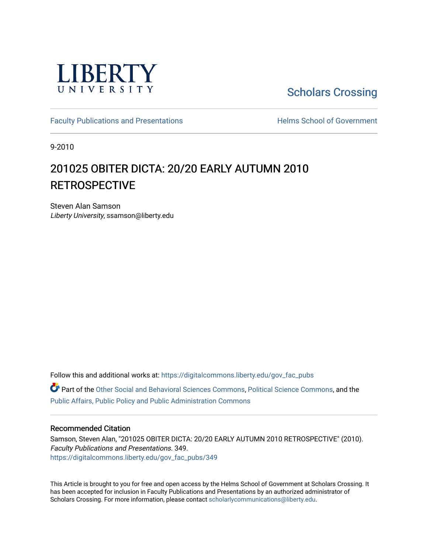

# [Scholars Crossing](https://digitalcommons.liberty.edu/)

[Faculty Publications and Presentations](https://digitalcommons.liberty.edu/gov_fac_pubs) **Exercise School of Government** 

9-2010

# 201025 OBITER DICTA: 20/20 EARLY AUTUMN 2010 RETROSPECTIVE

Steven Alan Samson Liberty University, ssamson@liberty.edu

Follow this and additional works at: [https://digitalcommons.liberty.edu/gov\\_fac\\_pubs](https://digitalcommons.liberty.edu/gov_fac_pubs?utm_source=digitalcommons.liberty.edu%2Fgov_fac_pubs%2F349&utm_medium=PDF&utm_campaign=PDFCoverPages)

Part of the [Other Social and Behavioral Sciences Commons](http://network.bepress.com/hgg/discipline/437?utm_source=digitalcommons.liberty.edu%2Fgov_fac_pubs%2F349&utm_medium=PDF&utm_campaign=PDFCoverPages), [Political Science Commons](http://network.bepress.com/hgg/discipline/386?utm_source=digitalcommons.liberty.edu%2Fgov_fac_pubs%2F349&utm_medium=PDF&utm_campaign=PDFCoverPages), and the [Public Affairs, Public Policy and Public Administration Commons](http://network.bepress.com/hgg/discipline/393?utm_source=digitalcommons.liberty.edu%2Fgov_fac_pubs%2F349&utm_medium=PDF&utm_campaign=PDFCoverPages)

## Recommended Citation

Samson, Steven Alan, "201025 OBITER DICTA: 20/20 EARLY AUTUMN 2010 RETROSPECTIVE" (2010). Faculty Publications and Presentations. 349. [https://digitalcommons.liberty.edu/gov\\_fac\\_pubs/349](https://digitalcommons.liberty.edu/gov_fac_pubs/349?utm_source=digitalcommons.liberty.edu%2Fgov_fac_pubs%2F349&utm_medium=PDF&utm_campaign=PDFCoverPages)

This Article is brought to you for free and open access by the Helms School of Government at Scholars Crossing. It has been accepted for inclusion in Faculty Publications and Presentations by an authorized administrator of Scholars Crossing. For more information, please contact [scholarlycommunications@liberty.edu.](mailto:scholarlycommunications@liberty.edu)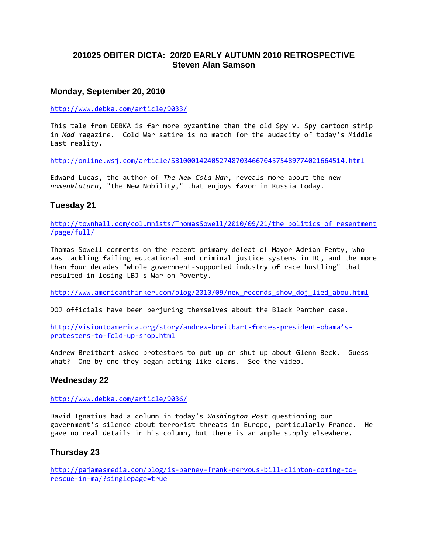# **201025 OBITER DICTA: 20/20 EARLY AUTUMN 2010 RETROSPECTIVE Steven Alan Samson**

# **Monday, September 20, 2010**

<http://www.debka.com/article/9033/>

This tale from DEBKA is far more byzantine than the old Spy v. Spy cartoon strip in *Mad* magazine. Cold War satire is no match for the audacity of today's Middle East reality.

<http://online.wsj.com/article/SB10001424052748703466704575489774021664514.html>

Edward Lucas, the author of *The New Cold War*, reveals more about the new *nomenklatura*, "the New Nobility," that enjoys favor in Russia today.

# **Tuesday 21**

[http://townhall.com/columnists/ThomasSowell/2010/09/21/the\\_politics\\_of\\_resentment](http://townhall.com/columnists/ThomasSowell/2010/09/21/the_politics_of_resentment/page/full/) [/page/full/](http://townhall.com/columnists/ThomasSowell/2010/09/21/the_politics_of_resentment/page/full/)

Thomas Sowell comments on the recent primary defeat of Mayor Adrian Fenty, who was tackling failing educational and criminal justice systems in DC, and the more than four decades "whole government-supported industry of race hustling" that resulted in losing LBJ's War on Poverty.

http://www.americanthinker.com/blog/2010/09/new records show doj lied abou.html

DOJ officials have been perjuring themselves about the Black Panther case.

[http://visiontoamerica.org/story/andrew-breitbart-forces-president-obama's](http://visiontoamerica.org/story/andrew-breitbart-forces-president-obama)[protesters-to-fold-up-shop.html](http://visiontoamerica.org/story/andrew-breitbart-forces-president-obama)

Andrew Breitbart asked protestors to put up or shut up about Glenn Beck. Guess what? One by one they began acting like clams. See the video.

## **Wednesday 22**

<http://www.debka.com/article/9036/>

David Ignatius had a column in today's *Washington Post* questioning our government's silence about terrorist threats in Europe, particularly France. He gave no real details in his column, but there is an ample supply elsewhere.

## **Thursday 23**

[http://pajamasmedia.com/blog/is-barney-frank-nervous-bill-clinton-coming-to](http://pajamasmedia.com/blog/is-barney-frank-nervous-bill-clinton-coming-to-rescue-in-ma/?singlepage=true)[rescue-in-ma/?singlepage=true](http://pajamasmedia.com/blog/is-barney-frank-nervous-bill-clinton-coming-to-rescue-in-ma/?singlepage=true)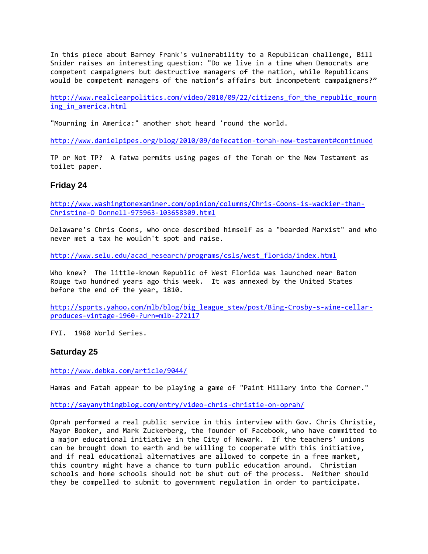In this piece about Barney Frank's vulnerability to a Republican challenge, Bill Snider raises an interesting question: "Do we live in a time when Democrats are competent campaigners but destructive managers of the nation, while Republicans would be competent managers of the nation's affairs but incompetent campaigners?"

http://www.realclearpolitics.com/video/2010/09/22/citizens for the republic mourn ing in america.html

"Mourning in America:" another shot heard 'round the world.

<http://www.danielpipes.org/blog/2010/09/defecation-torah-new-testament#continued>

TP or Not TP? A fatwa permits using pages of the Torah or the New Testament as toilet paper.

## **Friday 24**

[http://www.washingtonexaminer.com/opinion/columns/Chris-Coons-is-wackier-than-](http://www.washingtonexaminer.com/opinion/columns/Chris-Coons-is-wackier-than-Christine-O_Donnell-975963-103658309.html)[Christine-O\\_Donnell-975963-103658309.html](http://www.washingtonexaminer.com/opinion/columns/Chris-Coons-is-wackier-than-Christine-O_Donnell-975963-103658309.html)

Delaware's Chris Coons, who once described himself as a "bearded Marxist" and who never met a tax he wouldn't spot and raise.

[http://www.selu.edu/acad\\_research/programs/csls/west\\_florida/index.html](http://www.selu.edu/acad_research/programs/csls/west_florida/index.html)

Who knew? The little-known Republic of West Florida was launched near Baton Rouge two hundred years ago this week. It was annexed by the United States before the end of the year, 1810.

[http://sports.yahoo.com/mlb/blog/big\\_league\\_stew/post/Bing-Crosby-s-wine-cellar](http://sports.yahoo.com/mlb/blog/big_league_stew/post/Bing-Crosby-s-wine-cellar-produces-vintage-1960-?urn=mlb-272117)[produces-vintage-1960-?urn=mlb-272117](http://sports.yahoo.com/mlb/blog/big_league_stew/post/Bing-Crosby-s-wine-cellar-produces-vintage-1960-?urn=mlb-272117)

FYI. 1960 World Series.

#### **Saturday 25**

<http://www.debka.com/article/9044/>

Hamas and Fatah appear to be playing a game of "Paint Hillary into the Corner."

<http://sayanythingblog.com/entry/video-chris-christie-on-oprah/>

Oprah performed a real public service in this interview with Gov. Chris Christie, Mayor Booker, and Mark Zuckerberg, the founder of Facebook, who have committed to a major educational initiative in the City of Newark. If the teachers' unions can be brought down to earth and be willing to cooperate with this initiative, and if real educational alternatives are allowed to compete in a free market, this country might have a chance to turn public education around. Christian schools and home schools should not be shut out of the process. Neither should they be compelled to submit to government regulation in order to participate.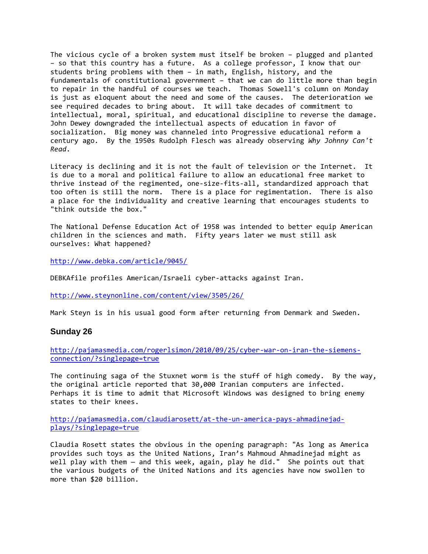The vicious cycle of a broken system must itself be broken – plugged and planted – so that this country has a future. As a college professor, I know that our students bring problems with them – in math, English, history, and the fundamentals of constitutional government – that we can do little more than begin to repair in the handful of courses we teach. Thomas Sowell's column on Monday is just as eloquent about the need and some of the causes. The deterioration we see required decades to bring about. It will take decades of commitment to intellectual, moral, spiritual, and educational discipline to reverse the damage. John Dewey downgraded the intellectual aspects of education in favor of socialization. Big money was channeled into Progressive educational reform a century ago. By the 1950s Rudolph Flesch was already observing *Why Johnny Can't Read*.

Literacy is declining and it is not the fault of television or the Internet. It is due to a moral and political failure to allow an educational free market to thrive instead of the regimented, one-size-fits-all, standardized approach that too often is still the norm. There is a place for regimentation. There is also a place for the individuality and creative learning that encourages students to "think outside the box."

The National Defense Education Act of 1958 was intended to better equip American children in the sciences and math. Fifty years later we must still ask ourselves: What happened?

<http://www.debka.com/article/9045/>

DEBKAfile profiles American/Israeli cyber-attacks against Iran.

<http://www.steynonline.com/content/view/3505/26/>

Mark Steyn is in his usual good form after returning from Denmark and Sweden.

#### **Sunday 26**

[http://pajamasmedia.com/rogerlsimon/2010/09/25/cyber-war-on-iran-the-siemens](http://pajamasmedia.com/rogerlsimon/2010/09/25/cyber-war-on-iran-the-siemens-connection/?singlepage=true)[connection/?singlepage=true](http://pajamasmedia.com/rogerlsimon/2010/09/25/cyber-war-on-iran-the-siemens-connection/?singlepage=true)

The continuing saga of the Stuxnet worm is the stuff of high comedy. By the way, the original article reported that 30,000 Iranian computers are infected. Perhaps it is time to admit that Microsoft Windows was designed to bring enemy states to their knees.

[http://pajamasmedia.com/claudiarosett/at-the-un-america-pays-ahmadinejad](http://pajamasmedia.com/claudiarosett/at-the-un-america-pays-ahmadinejad-plays/?singlepage=true)[plays/?singlepage=true](http://pajamasmedia.com/claudiarosett/at-the-un-america-pays-ahmadinejad-plays/?singlepage=true)

Claudia Rosett states the obvious in the opening paragraph: "As long as America provides such toys as the United Nations, Iran's Mahmoud Ahmadinejad might as well play with them — and this week, again, play he did." She points out that the various budgets of the United Nations and its agencies have now swollen to more than \$20 billion.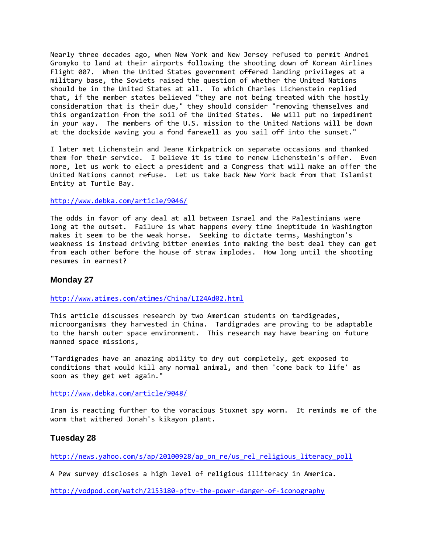Nearly three decades ago, when New York and New Jersey refused to permit Andrei Gromyko to land at their airports following the shooting down of Korean Airlines Flight 007. When the United States government offered landing privileges at a military base, the Soviets raised the question of whether the United Nations should be in the United States at all. To which Charles Lichenstein replied that, if the member states believed "they are not being treated with the hostly consideration that is their due," they should consider "removing themselves and this organization from the soil of the United States. We will put no impediment in your way. The members of the U.S. mission to the United Nations will be down at the dockside waving you a fond farewell as you sail off into the sunset."

I later met Lichenstein and Jeane Kirkpatrick on separate occasions and thanked them for their service. I believe it is time to renew Lichenstein's offer. Even more, let us work to elect a president and a Congress that will make an offer the United Nations cannot refuse. Let us take back New York back from that Islamist Entity at Turtle Bay.

#### <http://www.debka.com/article/9046/>

The odds in favor of any deal at all between Israel and the Palestinians were long at the outset. Failure is what happens every time ineptitude in Washington makes it seem to be the weak horse. Seeking to dictate terms, Washington's weakness is instead driving bitter enemies into making the best deal they can get from each other before the house of straw implodes. How long until the shooting resumes in earnest?

## **Monday 27**

<http://www.atimes.com/atimes/China/LI24Ad02.html>

This article discusses research by two American students on tardigrades, microorganisms they harvested in China. Tardigrades are proving to be adaptable to the harsh outer space environment. This research may have bearing on future manned space missions,

"Tardigrades have an amazing ability to dry out completely, get exposed to conditions that would kill any normal animal, and then 'come back to life' as soon as they get wet again."

<http://www.debka.com/article/9048/>

Iran is reacting further to the voracious Stuxnet spy worm. It reminds me of the worm that withered Jonah's kikayon plant.

## **Tuesday 28**

[http://news.yahoo.com/s/ap/20100928/ap\\_on\\_re/us\\_rel\\_religious\\_literacy\\_poll](http://news.yahoo.com/s/ap/20100928/ap_on_re/us_rel_religious_literacy_poll)

A Pew survey discloses a high level of religious illiteracy in America.

<http://vodpod.com/watch/2153180-pjtv-the-power-danger-of-iconography>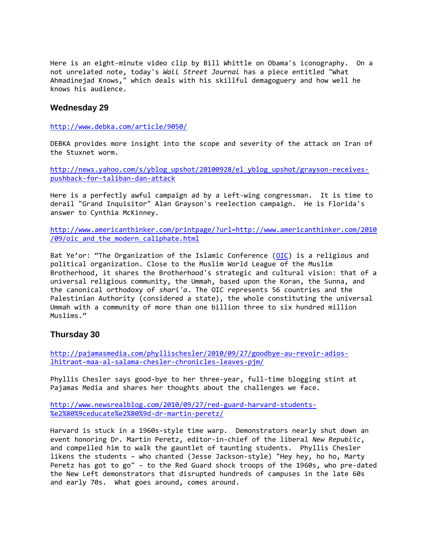Here is an eight-minute video clip by Bill Whittle on Obama's iconography. On a not unrelated note, today's *Wall Street Journal* has a piece entitled "What Ahmadinejad Knows," which deals with his skillful demagoguery and how well he knows his audience.

## **Wednesday 29**

<http://www.debka.com/article/9050/>

DEBKA provides more insight into the scope and severity of the attack on Iran of the Stuxnet worm.

[http://news.yahoo.com/s/yblog\\_upshot/20100928/el\\_yblog\\_upshot/grayson-receives](http://news.yahoo.com/s/yblog_upshot/20100928/el_yblog_upshot/grayson-receives-pushback-for-taliban-dan-attack)[pushback-for-taliban-dan-attack](http://news.yahoo.com/s/yblog_upshot/20100928/el_yblog_upshot/grayson-receives-pushback-for-taliban-dan-attack)

Here is a perfectly awful campaign ad by a Left-wing congressman. It is time to derail "Grand Inquisitor" Alan Grayson's reelection campaign. He is Florida's answer to Cynthia McKinney.

[http://www.americanthinker.com/printpage/?url=http://www.americanthinker.com/2010](http://www.americanthinker.com/printpage/?url=http://www.americanthinker.com/2010/09/oic_and_the_modern_caliphate.html) /09/oic and the modern caliphate.html

Bat Ye'or: "The Organization of the Islamic Conference [\(OIC\)](http://www.oic-oci.org/) is a religious and political organization. Close to the Muslim World League of the Muslim Brotherhood, it shares the Brotherhood's strategic and cultural vision: that of a universal religious community, the Ummah, based upon the Koran, the Sunna, and the canonical orthodoxy of *shari'a*. The OIC represents 56 countries and the Palestinian Authority (considered a state), the whole constituting the universal Ummah with a community of more than one billion three to six hundred million Muslims."

## **Thursday 30**

[http://pajamasmedia.com/phyllischesler/2010/09/27/goodbye-au-revoir-adios](http://pajamasmedia.com/phyllischesler/2010/09/27/goodbye-au-revoir-adios-lhitraot-maa-al-salama-chesler-chronicles-leaves-pjm/)[lhitraot-maa-al-salama-chesler-chronicles-leaves-pjm/](http://pajamasmedia.com/phyllischesler/2010/09/27/goodbye-au-revoir-adios-lhitraot-maa-al-salama-chesler-chronicles-leaves-pjm/)

Phyllis Chesler says good-bye to her three-year, full-time blogging stint at Pajamas Media and shares her thoughts about the challenges we face.

[http://www.newsrealblog.com/2010/09/27/red-guard-harvard-students-](http://www.newsrealblog.com/2010/09/27/red-guard-harvard-students-%e2%80%9ceducate%e2%80%9d-dr-martin-peretz/) [%e2%80%9ceducate%e2%80%9d-dr-martin-peretz/](http://www.newsrealblog.com/2010/09/27/red-guard-harvard-students-%e2%80%9ceducate%e2%80%9d-dr-martin-peretz/)

Harvard is stuck in a 1960s-style time warp. Demonstrators nearly shut down an event honoring Dr. Martin Peretz, editor-in-chief of the liberal *New Republic*, and compelled him to walk the gauntlet of taunting students. Phyllis Chesler likens the students – who chanted (Jesse Jackson-style) "Hey hey, ho ho, Marty Peretz has got to go" – to the Red Guard shock troops of the 1960s, who pre-dated the New Left demonstrators that disrupted hundreds of campuses in the late 60s and early 70s. What goes around, comes around.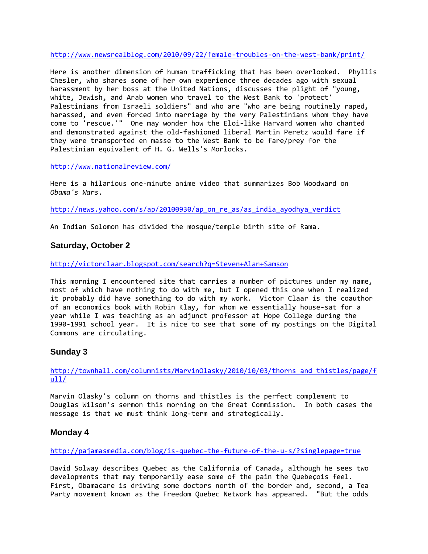<http://www.newsrealblog.com/2010/09/22/female-troubles-on-the-west-bank/print/>

Here is another dimension of human trafficking that has been overlooked. Phyllis Chesler, who shares some of her own experience three decades ago with sexual harassment by her boss at the United Nations, discusses the plight of "young, white, Jewish, and Arab women who travel to the West Bank to 'protect' Palestinians from Israeli soldiers" and who are "who are being routinely raped, harassed, and even forced into marriage by the very Palestinians whom they have come to 'rescue.'" One may wonder how the Eloi-like Harvard women who chanted and demonstrated against the old-fashioned liberal Martin Peretz would fare if they were transported en masse to the West Bank to be fare/prey for the Palestinian equivalent of H. G. Wells's Morlocks.

<http://www.nationalreview.com/>

Here is a hilarious one-minute anime video that summarizes Bob Woodward on *Obama's Wars*.

[http://news.yahoo.com/s/ap/20100930/ap\\_on\\_re\\_as/as\\_india\\_ayodhya\\_verdict](http://news.yahoo.com/s/ap/20100930/ap_on_re_as/as_india_ayodhya_verdict)

An Indian Solomon has divided the mosque/temple birth site of Rama.

# **Saturday, October 2**

<http://victorclaar.blogspot.com/search?q=Steven+Alan+Samson>

This morning I encountered site that carries a number of pictures under my name, most of which have nothing to do with me, but I opened this one when I realized it probably did have something to do with my work. Victor Claar is the coauthor of an economics book with Robin Klay, for whom we essentially house-sat for a year while I was teaching as an adjunct professor at Hope College during the 1990-1991 school year. It is nice to see that some of my postings on the Digital Commons are circulating.

# **Sunday 3**

[http://townhall.com/columnists/MarvinOlasky/2010/10/03/thorns\\_and\\_thistles/page/f](http://townhall.com/columnists/MarvinOlasky/2010/10/03/thorns_and_thistles/page/full/)  $u11/$ 

Marvin Olasky's column on thorns and thistles is the perfect complement to Douglas Wilson's sermon this morning on the Great Commission. In both cases the message is that we must think long-term and strategically.

## **Monday 4**

<http://pajamasmedia.com/blog/is-quebec-the-future-of-the-u-s/?singlepage=true>

David Solway describes Quebec as the California of Canada, although he sees two developments that may temporarily ease some of the pain the Quebeçois feel. First, Obamacare is driving some doctors north of the border and, second, a Tea Party movement known as the Freedom Quebec Network has appeared. "But the odds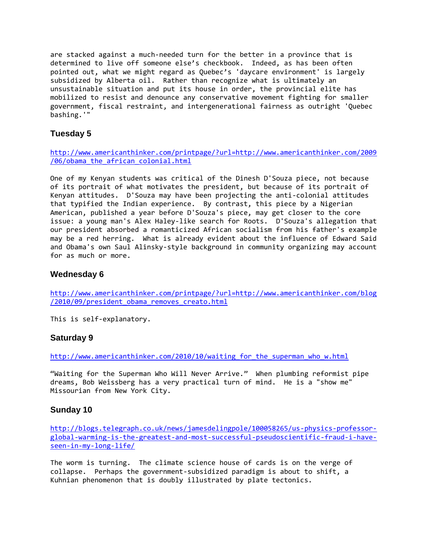are stacked against a much-needed turn for the better in a province that is determined to live off someone else's checkbook. Indeed, as has been often pointed out, what we might regard as Quebec's 'daycare environment' is largely subsidized by Alberta oil. Rather than recognize what is ultimately an unsustainable situation and put its house in order, the provincial elite has mobilized to resist and denounce any conservative movement fighting for smaller government, fiscal restraint, and intergenerational fairness as outright 'Quebec bashing.'"

# **Tuesday 5**

[http://www.americanthinker.com/printpage/?url=http://www.americanthinker.com/2009](http://www.americanthinker.com/printpage/?url=http://www.americanthinker.com/2009/06/obama_the_african_colonial.html) [/06/obama\\_the\\_african\\_colonial.html](http://www.americanthinker.com/printpage/?url=http://www.americanthinker.com/2009/06/obama_the_african_colonial.html)

One of my Kenyan students was critical of the Dinesh D'Souza piece, not because of its portrait of what motivates the president, but because of its portrait of Kenyan attitudes. D'Souza may have been projecting the anti-colonial attitudes that typified the Indian experience. By contrast, this piece by a Nigerian American, published a year before D'Souza's piece, may get closer to the core issue: a young man's Alex Haley-like search for Roots. D'Souza's allegation that our president absorbed a romanticized African socialism from his father's example may be a red herring. What is already evident about the influence of Edward Said and Obama's own Saul Alinsky-style background in community organizing may account for as much or more.

# **Wednesday 6**

[http://www.americanthinker.com/printpage/?url=http://www.americanthinker.com/blog](http://www.americanthinker.com/printpage/?url=http://www.americanthinker.com/blog/2010/09/president_obama_removes_creato.html) /2010/09/president obama removes creato.html

This is self-explanatory.

# **Saturday 9**

[http://www.americanthinker.com/2010/10/waiting\\_for\\_the\\_superman\\_who\\_w.html](http://www.americanthinker.com/2010/10/waiting_for_the_superman_who_w.html)

"Waiting for the Superman Who Will Never Arrive." When plumbing reformist pipe dreams, Bob Weissberg has a very practical turn of mind. He is a "show me" Missourian from New York City.

# **Sunday 10**

[http://blogs.telegraph.co.uk/news/jamesdelingpole/100058265/us-physics-professor](http://blogs.telegraph.co.uk/news/jamesdelingpole/100058265/us-physics-professor-global-warming-is-the-greatest-and-most-successful-pseudoscientific-fraud-i-have-seen-in-my-long-life/)[global-warming-is-the-greatest-and-most-successful-pseudoscientific-fraud-i-have](http://blogs.telegraph.co.uk/news/jamesdelingpole/100058265/us-physics-professor-global-warming-is-the-greatest-and-most-successful-pseudoscientific-fraud-i-have-seen-in-my-long-life/)[seen-in-my-long-life/](http://blogs.telegraph.co.uk/news/jamesdelingpole/100058265/us-physics-professor-global-warming-is-the-greatest-and-most-successful-pseudoscientific-fraud-i-have-seen-in-my-long-life/)

The worm is turning. The climate science house of cards is on the verge of collapse. Perhaps the government-subsidized paradigm is about to shift, a Kuhnian phenomenon that is doubly illustrated by plate tectonics.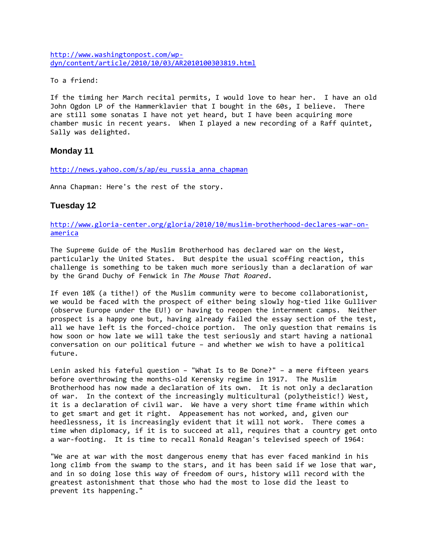[http://www.washingtonpost.com/wp](http://www.washingtonpost.com/wp-dyn/content/article/2010/10/03/AR2010100303819.html)[dyn/content/article/2010/10/03/AR2010100303819.html](http://www.washingtonpost.com/wp-dyn/content/article/2010/10/03/AR2010100303819.html)

To a friend:

If the timing her March recital permits, I would love to hear her. I have an old John Ogdon LP of the Hammerklavier that I bought in the 60s, I believe. There are still some sonatas I have not yet heard, but I have been acquiring more chamber music in recent years. When I played a new recording of a Raff quintet, Sally was delighted.

#### **Monday 11**

http://news.yahoo.com/s/ap/eu russia anna chapman

Anna Chapman: Here's the rest of the story.

#### **Tuesday 12**

[http://www.gloria-center.org/gloria/2010/10/muslim-brotherhood-declares-war-on](http://www.gloria-center.org/gloria/2010/10/muslim-brotherhood-declares-war-on-america)[america](http://www.gloria-center.org/gloria/2010/10/muslim-brotherhood-declares-war-on-america)

The Supreme Guide of the Muslim Brotherhood has declared war on the West, particularly the United States. But despite the usual scoffing reaction, this challenge is something to be taken much more seriously than a declaration of war by the Grand Duchy of Fenwick in *The Mouse That Roared*.

If even 10% (a tithe!) of the Muslim community were to become collaborationist, we would be faced with the prospect of either being slowly hog-tied like Gulliver (observe Europe under the EU!) or having to reopen the internment camps. Neither prospect is a happy one but, having already failed the essay section of the test, all we have left is the forced-choice portion. The only question that remains is how soon or how late we will take the test seriously and start having a national conversation on our political future – and whether we wish to have a political future.

Lenin asked his fateful question – "What Is to Be Done?" – a mere fifteen years before overthrowing the months-old Kerensky regime in 1917. The Muslim Brotherhood has now made a declaration of its own. It is not only a declaration of war. In the context of the increasingly multicultural (polytheistic!) West, it is a declaration of civil war. We have a very short time frame within which to get smart and get it right. Appeasement has not worked, and, given our heedlessness, it is increasingly evident that it will not work. There comes a time when diplomacy, if it is to succeed at all, requires that a country get onto a war-footing. It is time to recall Ronald Reagan's televised speech of 1964:

"We are at war with the most dangerous enemy that has ever faced mankind in his long climb from the swamp to the stars, and it has been said if we lose that war, and in so doing lose this way of freedom of ours, history will record with the greatest astonishment that those who had the most to lose did the least to prevent its happening."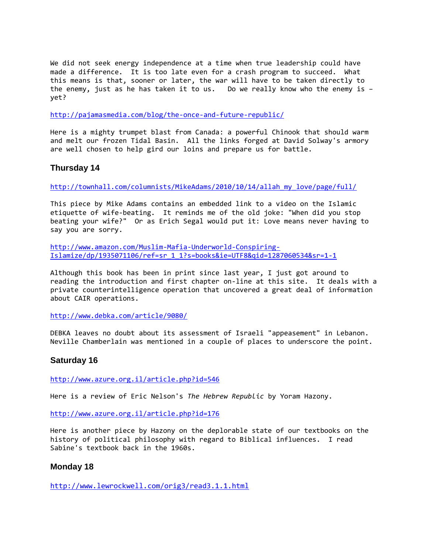We did not seek energy independence at a time when true leadership could have made a difference. It is too late even for a crash program to succeed. What this means is that, sooner or later, the war will have to be taken directly to the enemy, just as he has taken it to us. Do we really know who the enemy is – yet?

<http://pajamasmedia.com/blog/the-once-and-future-republic/>

Here is a mighty trumpet blast from Canada: a powerful Chinook that should warm and melt our frozen Tidal Basin. All the links forged at David Solway's armory are well chosen to help gird our loins and prepare us for battle.

# **Thursday 14**

[http://townhall.com/columnists/MikeAdams/2010/10/14/allah\\_my\\_love/page/full/](http://townhall.com/columnists/MikeAdams/2010/10/14/allah_my_love/page/full/)

This piece by Mike Adams contains an embedded link to a video on the Islamic etiquette of wife-beating. It reminds me of the old joke: "When did you stop beating your wife?" Or as Erich Segal would put it: Love means never having to say you are sorry.

[http://www.amazon.com/Muslim-Mafia-Underworld-Conspiring-](http://www.amazon.com/Muslim-Mafia-Underworld-Conspiring-Islamize/dp/1935071106/ref=sr_1_1?s=books&ie=UTF8&qid=1287060534&sr=1-1)[Islamize/dp/1935071106/ref=sr\\_1\\_1?s=books&ie=UTF8&qid=1287060534&sr=1-1](http://www.amazon.com/Muslim-Mafia-Underworld-Conspiring-Islamize/dp/1935071106/ref=sr_1_1?s=books&ie=UTF8&qid=1287060534&sr=1-1)

Although this book has been in print since last year, I just got around to reading the introduction and first chapter on-line at this site. It deals with a private counterintelligence operation that uncovered a great deal of information about CAIR operations.

<http://www.debka.com/article/9080/>

DEBKA leaves no doubt about its assessment of Israeli "appeasement" in Lebanon. Neville Chamberlain was mentioned in a couple of places to underscore the point.

## **Saturday 16**

<http://www.azure.org.il/article.php?id=546>

Here is a review of Eric Nelson's *The Hebrew Republic* by Yoram Hazony.

<http://www.azure.org.il/article.php?id=176>

Here is another piece by Hazony on the deplorable state of our textbooks on the history of political philosophy with regard to Biblical influences. I read Sabine's textbook back in the 1960s.

## **Monday 18**

<http://www.lewrockwell.com/orig3/read3.1.1.html>